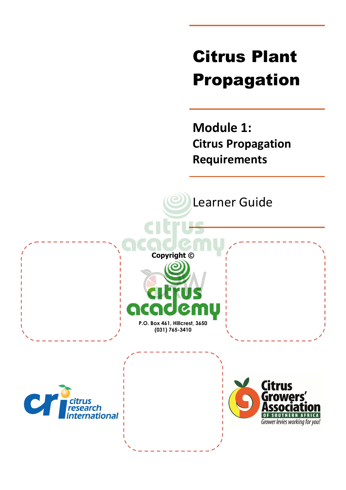# Citrus Plant Propagation

**Module 1: Citrus Propagation Requirements**

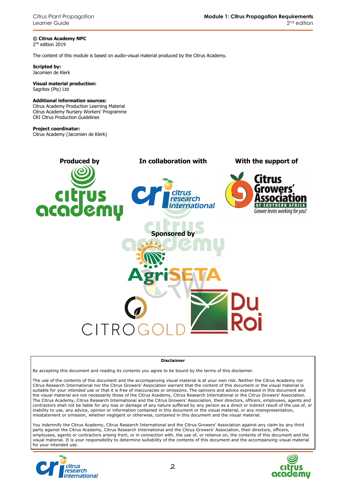**© Citrus Academy NPC**  2 nd edition 2019

The content of this module is based on audio-visual material produced by the Citrus Academy.

**Scripted by:**  Jacomien de Klerk

#### **Visual material production:**  Sagritex (Pty) Ltd

#### **Additional information sources:**

Citrus Academy Production Learning Material Citrus Academy Nursery Workers' Programme CRI Citrus Production Guidelines

#### **Project coordinator:**

Citrus Academy (Jacomien de Klerk)



#### **Disclaimer**

By accepting this document and reading its contents you agree to be bound by the terms of this disclaimer.

The use of the contents of this document and the accompanying visual material is at your own risk. Neither the Citrus Academy nor Citrus Research International nor the Citrus Growers' Association warrant that the content of this document or the visual material is suitable for your intended use or that it is free of inaccuracies or omissions. The opinions and advice expressed in this document and the visual material are not necessarily those of the Citrus Academy, Citrus Research International or the Citrus Growers' Association. The Citrus Academy, Citrus Research International and the Citrus Growers' Association, their directors, officers, employees, agents and contractors shall not be liable for any loss or damage of any nature suffered by any person as a direct or indirect result of the use of, or inability to use, any advice, opinion or information contained in this document or the visual material, or any misrepresentation, misstatement or omission, whether negligent or otherwise, contained in this document and the visual material.

You indemnify the Citrus Academy, Citrus Research International and the Citrus Growers' Association against any claim by any third party against the Citrus Academy, Citrus Research International and the Citrus Growers' Association, their directors, officers, employees, agents or contractors arising from, or in connection with, the use of, or reliance on, the contents of this document and the visual material. It is your responsibility to determine suitability of the contents of this document and the accompanying visual material for your intended use.



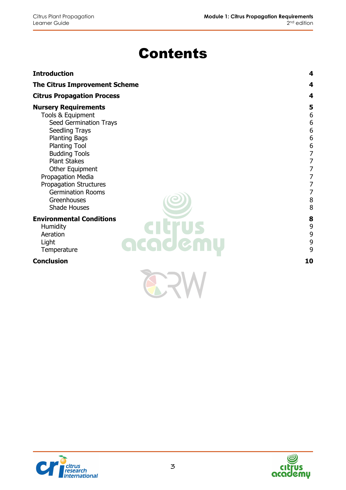# Contents

| <b>Introduction</b>                                                                                                                                                                                                                                                                                                                    | 4                                                                                                                                                               |
|----------------------------------------------------------------------------------------------------------------------------------------------------------------------------------------------------------------------------------------------------------------------------------------------------------------------------------------|-----------------------------------------------------------------------------------------------------------------------------------------------------------------|
| <b>The Citrus Improvement Scheme</b>                                                                                                                                                                                                                                                                                                   | 4                                                                                                                                                               |
| <b>Citrus Propagation Process</b>                                                                                                                                                                                                                                                                                                      | 4                                                                                                                                                               |
| <b>Nursery Requirements</b><br>Tools & Equipment<br>Seed Germination Trays<br>Seedling Trays<br><b>Planting Bags</b><br><b>Planting Tool</b><br><b>Budding Tools</b><br><b>Plant Stakes</b><br>Other Equipment<br>Propagation Media<br><b>Propagation Structures</b><br><b>Germination Rooms</b><br>Greenhouses<br><b>Shade Houses</b> | 5<br>6<br>$\overline{6}$<br>$\boldsymbol{6}$<br>$\overline{6}$<br>6<br>$\overline{7}$<br>$\overline{7}$<br>7<br>7<br>$\overline{7}$<br>$\overline{7}$<br>8<br>8 |
| <b>Environmental Conditions</b><br>Humidity<br>Aeration<br>academu<br>Light<br>Temperature                                                                                                                                                                                                                                             | 8<br>9<br>9<br>9<br>9                                                                                                                                           |
| <b>Conclusion</b>                                                                                                                                                                                                                                                                                                                      | 10                                                                                                                                                              |
|                                                                                                                                                                                                                                                                                                                                        |                                                                                                                                                                 |



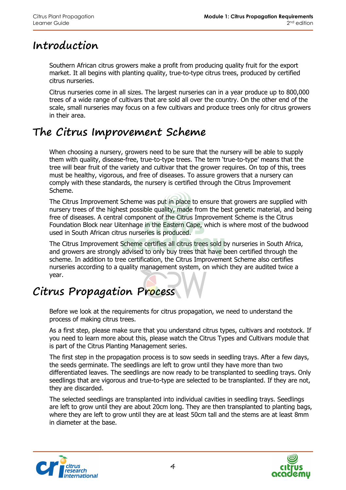# **Introduction**

Southern African citrus growers make a profit from producing quality fruit for the export market. It all begins with planting quality, true-to-type citrus trees, produced by certified citrus nurseries.

Citrus nurseries come in all sizes. The largest nurseries can in a year produce up to 800,000 trees of a wide range of cultivars that are sold all over the country. On the other end of the scale, small nurseries may focus on a few cultivars and produce trees only for citrus growers in their area.

# **The Citrus Improvement Scheme**

When choosing a nursery, growers need to be sure that the nursery will be able to supply them with quality, disease-free, true-to-type trees. The term 'true-to-type' means that the tree will bear fruit of the variety and cultivar that the grower requires. On top of this, trees must be healthy, vigorous, and free of diseases. To assure growers that a nursery can comply with these standards, the nursery is certified through the Citrus Improvement Scheme.

The Citrus Improvement Scheme was put in place to ensure that growers are supplied with nursery trees of the highest possible quality, made from the best genetic material, and being free of diseases. A central component of the Citrus Improvement Scheme is the Citrus Foundation Block near Uitenhage in the Eastern Cape, which is where most of the budwood used in South African citrus nurseries is produced.

The Citrus Improvement Scheme certifies all citrus trees sold by nurseries in South Africa, and growers are strongly advised to only buy trees that have been certified through the scheme. In addition to tree certification, the Citrus Improvement Scheme also certifies nurseries according to a quality management system, on which they are audited twice a year.

# **Citrus Propagation Process**

Before we look at the requirements for citrus propagation, we need to understand the process of making citrus trees.

As a first step, please make sure that you understand citrus types, cultivars and rootstock. If you need to learn more about this, please watch the Citrus Types and Cultivars module that is part of the Citrus Planting Management series.

The first step in the propagation process is to sow seeds in seedling trays. After a few days, the seeds germinate. The seedlings are left to grow until they have more than two differentiated leaves. The seedlings are now ready to be transplanted to seedling trays. Only seedlings that are vigorous and true-to-type are selected to be transplanted. If they are not, they are discarded.

The selected seedlings are transplanted into individual cavities in seedling trays. Seedlings are left to grow until they are about 20cm long. They are then transplanted to planting bags, where they are left to grow until they are at least 50cm tall and the stems are at least 8mm in diameter at the base.



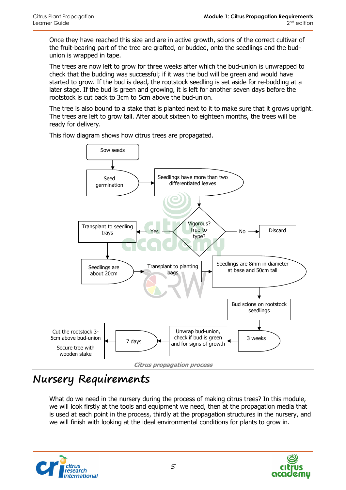Once they have reached this size and are in active growth, scions of the correct cultivar of the fruit-bearing part of the tree are grafted, or budded, onto the seedlings and the budunion is wrapped in tape.

The trees are now left to grow for three weeks after which the bud-union is unwrapped to check that the budding was successful; if it was the bud will be green and would have started to grow. If the bud is dead, the rootstock seedling is set aside for re-budding at a later stage. If the bud is green and growing, it is left for another seven days before the rootstock is cut back to 3cm to 5cm above the bud-union.

The tree is also bound to a stake that is planted next to it to make sure that it grows upright. The trees are left to grow tall. After about sixteen to eighteen months, the trees will be ready for delivery.



This flow diagram shows how citrus trees are propagated.

# **Nursery Requirements**

What do we need in the nursery during the process of making citrus trees? In this module, we will look firstly at the tools and equipment we need, then at the propagation media that is used at each point in the process, thirdly at the propagation structures in the nursery, and we will finish with looking at the ideal environmental conditions for plants to grow in.



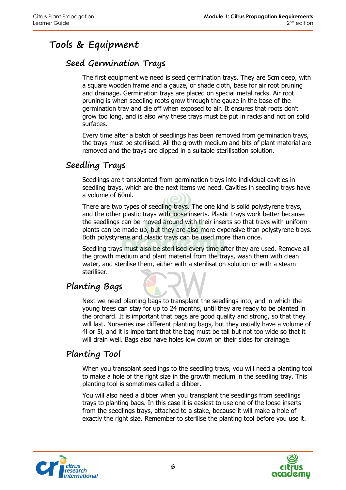# **Tools & Equipment**

#### **Seed Germination Trays**

The first equipment we need is seed germination trays. They are 5cm deep, with a square wooden frame and a gauze, or shade cloth, base for air root pruning and drainage. Germination trays are placed on special metal racks. Air root pruning is when seedling roots grow through the gauze in the base of the germination tray and die off when exposed to air. It ensures that roots don't grow too long, and is also why these trays must be put in racks and not on solid surfaces.

Every time after a batch of seedlings has been removed from germination trays, the trays must be sterilised. All the growth medium and bits of plant material are removed and the trays are dipped in a suitable sterilisation solution.

#### **Seedling Trays**

Seedlings are transplanted from germination trays into individual cavities in seedling trays, which are the next items we need. Cavities in seedling trays have a volume of 60ml.

There are two types of seedling trays. The one kind is solid polystyrene trays, and the other plastic trays with loose inserts. Plastic trays work better because the seedlings can be moved around with their inserts so that trays with uniform plants can be made up, but they are also more expensive than polystyrene trays. Both polystyrene and plastic trays can be used more than once.

Seedling trays must also be sterilised every time after they are used. Remove all the growth medium and plant material from the trays, wash them with clean water, and sterilise them, either with a sterilisation solution or with a steam steriliser.

### **Planting Bags**

Next we need planting bags to transplant the seedlings into, and in which the young trees can stay for up to 24 months, until they are ready to be planted in the orchard. It is important that bags are good quality and strong, so that they will last. Nurseries use different planting bags, but they usually have a volume of 4l or 5l, and it is important that the bag must be tall but not too wide so that it will drain well. Bags also have holes low down on their sides for drainage.

### **Planting Tool**

When you transplant seedlings to the seedling trays, you will need a planting tool to make a hole of the right size in the growth medium in the seedling tray. This planting tool is sometimes called a dibber.

You will also need a dibber when you transplant the seedlings from seedlings trays to planting bags. In this case it is easiest to use one of the loose inserts from the seedlings trays, attached to a stake, because it will make a hole of exactly the right size. Remember to sterilise the planting tool before you use it.



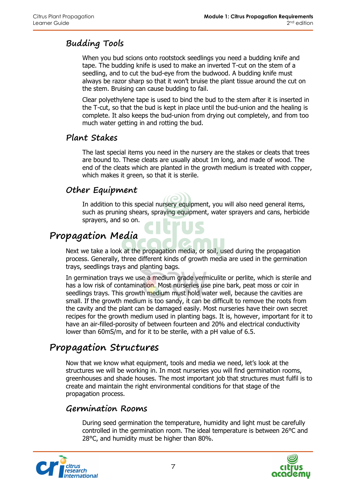### **Budding Tools**

When you bud scions onto rootstock seedlings you need a budding knife and tape. The budding knife is used to make an inverted T-cut on the stem of a seedling, and to cut the bud-eye from the budwood. A budding knife must always be razor sharp so that it won't bruise the plant tissue around the cut on the stem. Bruising can cause budding to fail.

Clear polyethylene tape is used to bind the bud to the stem after it is inserted in the T-cut, so that the bud is kept in place until the bud-union and the healing is complete. It also keeps the bud-union from drying out completely, and from too much water getting in and rotting the bud.

#### **Plant Stakes**

The last special items you need in the nursery are the stakes or cleats that trees are bound to. These cleats are usually about 1m long, and made of wood. The end of the cleats which are planted in the growth medium is treated with copper, which makes it green, so that it is sterile.

### **Other Equipment**

In addition to this special nursery equipment, you will also need general items, such as pruning shears, spraying equipment, water sprayers and cans, herbicide sprayers, and so on.

## **Propagation Media**

Next we take a look at the propagation media, or soil, used during the propagation process. Generally, three different kinds of growth media are used in the germination trays, seedlings trays and planting bags.

In germination trays we use a medium grade vermiculite or perlite, which is sterile and has a low risk of contamination. Most nurseries use pine bark, peat moss or coir in seedlings trays. This growth medium must hold water well, because the cavities are small. If the growth medium is too sandy, it can be difficult to remove the roots from the cavity and the plant can be damaged easily. Most nurseries have their own secret recipes for the growth medium used in planting bags. It is, however, important for it to have an air-filled-porosity of between fourteen and 20% and electrical conductivity lower than 60mS/m, and for it to be sterile, with a pH value of 6.5.

## **Propagation Structures**

Now that we know what equipment, tools and media we need, let's look at the structures we will be working in. In most nurseries you will find germination rooms, greenhouses and shade houses. The most important job that structures must fulfil is to create and maintain the right environmental conditions for that stage of the propagation process.

#### **Germination Rooms**

During seed germination the temperature, humidity and light must be carefully controlled in the germination room. The ideal temperature is between 26°C and 28°C, and humidity must be higher than 80%.



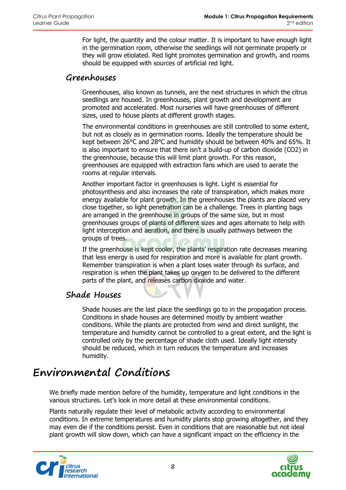For light, the quantity and the colour matter. It is important to have enough light in the germination room, otherwise the seedlings will not germinate properly or they will grow etiolated. Red light promotes germination and growth, and rooms should be equipped with sources of artificial red light.

#### **Greenhouses**

Greenhouses, also known as tunnels, are the next structures in which the citrus seedlings are housed. In greenhouses, plant growth and development are promoted and accelerated. Most nurseries will have greenhouses of different sizes, used to house plants at different growth stages.

The environmental conditions in greenhouses are still controlled to some extent, but not as closely as in germination rooms. Ideally the temperature should be kept between 26°C and 28°C and humidity should be between 40% and 65%. It is also important to ensure that there isn't a build-up of carbon dioxide (CO2) in the greenhouse, because this will limit plant growth. For this reason, greenhouses are equipped with extraction fans which are used to aerate the rooms at regular intervals.

Another important factor in greenhouses is light. Light is essential for photosynthesis and also increases the rate of transpiration, which makes more energy available for plant growth. In the greenhouses the plants are placed very close together, so light penetration can be a challenge. Trees in planting bags are arranged in the greenhouse in groups of the same size, but in most greenhouses groups of plants of different sizes and ages alternate to help with light interception and aeration, and there is usually pathways between the groups of trees.

If the greenhouse is kept cooler, the plants' respiration rate decreases meaning that less energy is used for respiration and more is available for plant growth. Remember transpiration is when a plant loses water through its surface, and respiration is when the plant takes up oxygen to be delivered to the different parts of the plant, and releases carbon dioxide and water.

#### **Shade Houses**

Shade houses are the last place the seedlings go to in the propagation process. Conditions in shade houses are determined mostly by ambient weather conditions. While the plants are protected from wind and direct sunlight, the temperature and humidity cannot be controlled to a great extent, and the light is controlled only by the percentage of shade cloth used. Ideally light intensity should be reduced, which in turn reduces the temperature and increases humidity.

# **Environmental Conditions**

We briefly made mention before of the humidity, temperature and light conditions in the various structures. Let's look in more detail at these environmental conditions.

Plants naturally regulate their level of metabolic activity according to environmental conditions. In extreme temperatures and humidity plants stop growing altogether, and they may even die if the conditions persist. Even in conditions that are reasonable but not ideal plant growth will slow down, which can have a significant impact on the efficiency in the



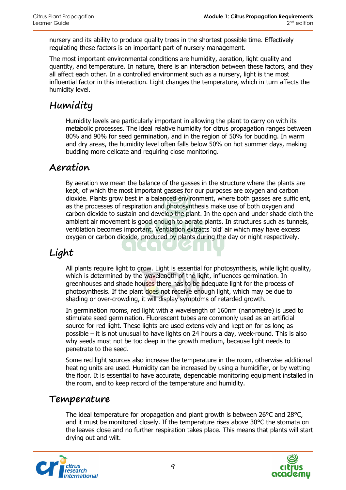nursery and its ability to produce quality trees in the shortest possible time. Effectively regulating these factors is an important part of nursery management.

The most important environmental conditions are humidity, aeration, light quality and quantity, and temperature. In nature, there is an interaction between these factors, and they all affect each other. In a controlled environment such as a nursery, light is the most influential factor in this interaction. Light changes the temperature, which in turn affects the humidity level.

# **Humidity**

Humidity levels are particularly important in allowing the plant to carry on with its metabolic processes. The ideal relative humidity for citrus propagation ranges between 80% and 90% for seed germination, and in the region of 50% for budding. In warm and dry areas, the humidity level often falls below 50% on hot summer days, making budding more delicate and requiring close monitoring.

### **Aeration**

By aeration we mean the balance of the gasses in the structure where the plants are kept, of which the most important gasses for our purposes are oxygen and carbon dioxide. Plants grow best in a balanced environment, where both gasses are sufficient, as the processes of respiration and photosynthesis make use of both oxygen and carbon dioxide to sustain and develop the plant. In the open and under shade cloth the ambient air movement is good enough to aerate plants. In structures such as tunnels, ventilation becomes important. Ventilation extracts 'old' air which may have excess oxygen or carbon dioxide, produced by plants during the day or night respectively.

### **Light**

All plants require light to grow. Light is essential for photosynthesis, while light quality, which is determined by the wavelength of the light, influences germination. In greenhouses and shade houses there has to be adequate light for the process of photosynthesis. If the plant does not receive enough light, which may be due to shading or over-crowding, it will display symptoms of retarded growth.

In germination rooms, red light with a wavelength of 160nm (nanometre) is used to stimulate seed germination. Fluorescent tubes are commonly used as an artificial source for red light. These lights are used extensively and kept on for as long as possible – it is not unusual to have lights on 24 hours a day, week-round. This is also why seeds must not be too deep in the growth medium, because light needs to penetrate to the seed.

Some red light sources also increase the temperature in the room, otherwise additional heating units are used. Humidity can be increased by using a humidifier, or by wetting the floor. It is essential to have accurate, dependable monitoring equipment installed in the room, and to keep record of the temperature and humidity.

### **Temperature**

The ideal temperature for propagation and plant growth is between 26°C and 28°C. and it must be monitored closely. If the temperature rises above 30°C the stomata on the leaves close and no further respiration takes place. This means that plants will start drying out and wilt.